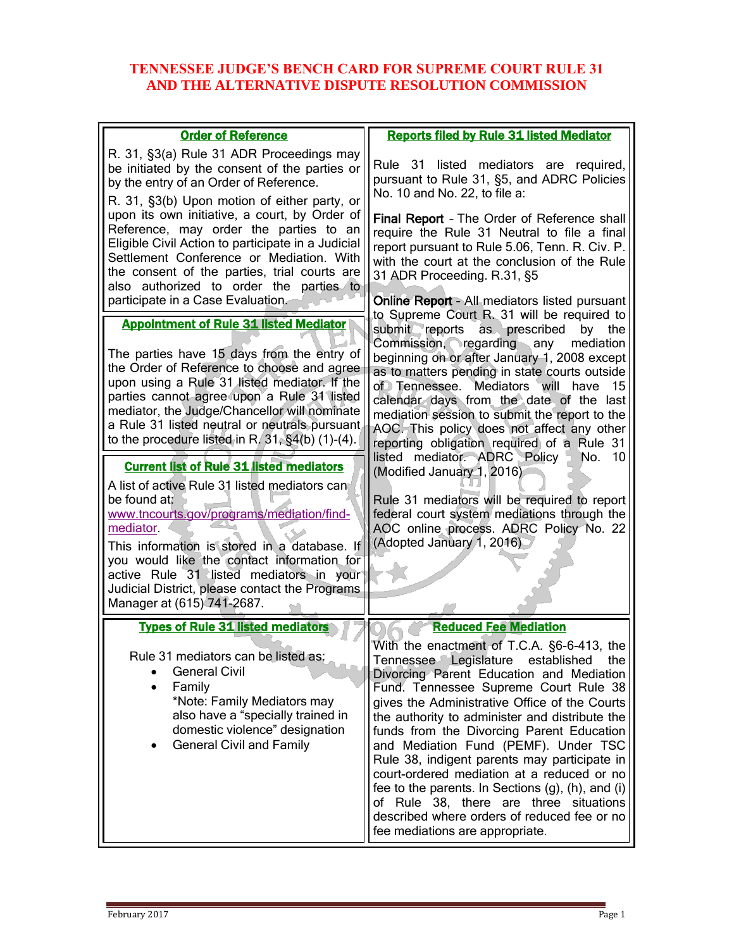## **TENNESSEE JUDGE'S BENCH CARD FOR SUPREME COURT RULE 31 AND THE ALTERNATIVE DISPUTE RESOLUTION COMMISSION**

| <b>Order of Reference</b>                                                                                                                                                                                                                                                                                                                                                                           | <b>Reports filed by Rule 31 listed Mediator</b>                                                                                                                                                                                                                                                                                                                                                                                                                                                                                                                                                                                                 |
|-----------------------------------------------------------------------------------------------------------------------------------------------------------------------------------------------------------------------------------------------------------------------------------------------------------------------------------------------------------------------------------------------------|-------------------------------------------------------------------------------------------------------------------------------------------------------------------------------------------------------------------------------------------------------------------------------------------------------------------------------------------------------------------------------------------------------------------------------------------------------------------------------------------------------------------------------------------------------------------------------------------------------------------------------------------------|
| R. 31, §3(a) Rule 31 ADR Proceedings may<br>be initiated by the consent of the parties or<br>by the entry of an Order of Reference.<br>R. 31, §3(b) Upon motion of either party, or                                                                                                                                                                                                                 | Rule 31 listed mediators are required,<br>pursuant to Rule 31, §5, and ADRC Policies<br>No. 10 and No. 22, to file a:                                                                                                                                                                                                                                                                                                                                                                                                                                                                                                                           |
| upon its own initiative, a court, by Order of<br>Reference, may order the parties to an<br>Eligible Civil Action to participate in a Judicial<br>Settlement Conference or Mediation. With<br>the consent of the parties, trial courts are<br>also authorized to order the parties to                                                                                                                | Final Report - The Order of Reference shall<br>require the Rule 31 Neutral to file a final<br>report pursuant to Rule 5.06, Tenn. R. Civ. P.<br>with the court at the conclusion of the Rule<br>31 ADR Proceeding. R.31, §5                                                                                                                                                                                                                                                                                                                                                                                                                     |
| participate in a Case Evaluation.                                                                                                                                                                                                                                                                                                                                                                   | Online Report - All mediators listed pursuant<br>to Supreme Court R. 31 will be required to                                                                                                                                                                                                                                                                                                                                                                                                                                                                                                                                                     |
| <b>Appointment of Rule 31 listed Mediator</b><br>The parties have 15 days from the entry of<br>the Order of Reference to choose and agree<br>upon using a Rule 31 listed mediator. If the<br>parties cannot agree upon a Rule 31 listed<br>mediator, the Judge/Chancellor will nominate<br>a Rule 31 listed neutral or neutrals pursuant<br>to the procedure listed in R. $31, §4(b)$ (1)-(4).      | submit reports as prescribed<br>by the<br>Commission, regarding any mediation<br>beginning on or after January 1, 2008 except<br>as to matters pending in state courts outside<br>of Tennessee. Mediators will have<br>-15<br>calendar days from the date of the last<br>mediation session to submit the report to the<br>AOC. This policy does not affect any other<br>reporting obligation required of a Rule 31                                                                                                                                                                                                                              |
| <b>Current list of Rule 31 listed mediators</b><br>A list of active Rule 31 listed mediators can<br>be found at:<br>www.tncourts.gov/programs/mediation/find-<br>mediator.<br>This information is stored in a database. If<br>you would like the contact information for<br>active Rule 31 listed mediators in your<br>Judicial District, please contact the Programs<br>Manager at (615) 741-2687. | listed mediator. ADRC Policy<br>10<br>No.<br>(Modified January 1, 2016)<br>Rule 31 mediators will be required to report<br>federal court system mediations through the<br>AOC online process. ADRC Policy No. 22<br>(Adopted January 1, 2016)                                                                                                                                                                                                                                                                                                                                                                                                   |
| <b>Types of Rule 31 listed mediators</b>                                                                                                                                                                                                                                                                                                                                                            | <b>Reduced Fee Mediation</b>                                                                                                                                                                                                                                                                                                                                                                                                                                                                                                                                                                                                                    |
| Rule 31 mediators can be listed as:<br><b>General Civil</b><br>Family<br>*Note: Family Mediators may<br>also have a "specially trained in<br>domestic violence" designation<br><b>General Civil and Family</b>                                                                                                                                                                                      | With the enactment of T.C.A. §6-6-413, the<br>Tennessee Legislature established the<br>Divorcing Parent Education and Mediation<br>Fund. Tennessee Supreme Court Rule 38<br>gives the Administrative Office of the Courts<br>the authority to administer and distribute the<br>funds from the Divorcing Parent Education<br>and Mediation Fund (PEMF). Under TSC<br>Rule 38, indigent parents may participate in<br>court-ordered mediation at a reduced or no<br>fee to the parents. In Sections (g), (h), and (i)<br>of Rule 38, there are three situations<br>described where orders of reduced fee or no<br>fee mediations are appropriate. |